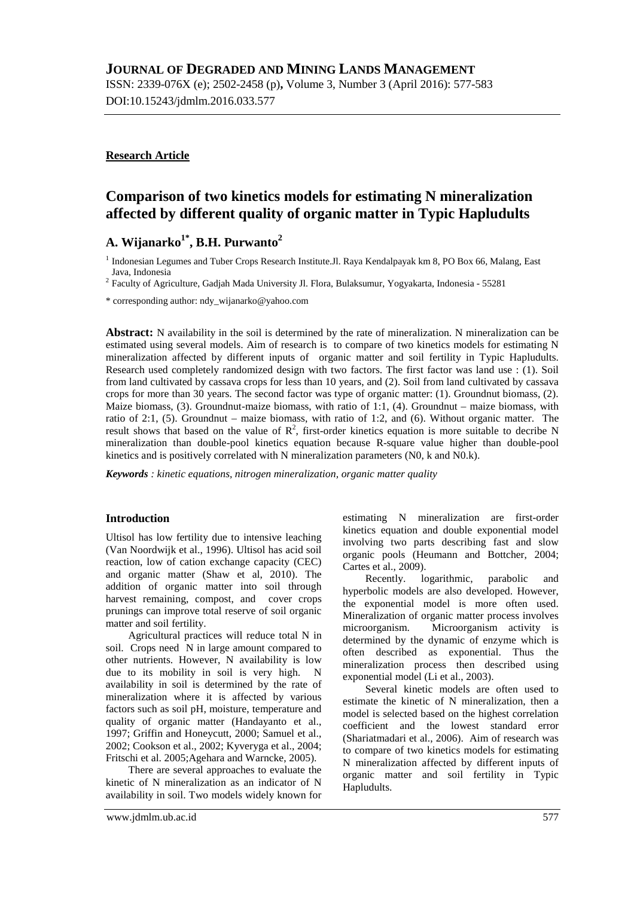ISSN: 2339-076X (e); 2502-2458 (p)**,** Volume 3, Number 3 (April 2016): 577-583 DOI:10.15243/jdmlm.2016.033.577

# **Research Article**

# **Comparison of two kinetics models for estimating N mineralization affected by different quality of organic matter in Typic Hapludults**

# **A. Wijanarko1\* , B.H. Purwanto<sup>2</sup>**

<sup>1</sup> Indonesian Legumes and Tuber Crops Research Institute.Jl. Raya Kendalpayak km 8, PO Box 66, Malang, East Java, Indonesia

<sup>2</sup> Faculty of Agriculture, Gadjah Mada University Jl. Flora, Bulaksumur, Yogyakarta, Indonesia - 55281

\* corresponding author: [ndy\\_wijanarko@yahoo.com](mailto:ndy_wijanarko@yahoo.com)

**Abstract:** N availability in the soil is determined by the rate of mineralization. N mineralization can be estimated using several models. Aim of research is to compare of two kinetics models for estimating N mineralization affected by different inputs of organic matter and soil fertility in Typic Hapludults. Research used completely randomized design with two factors. The first factor was land use : (1). Soil from land cultivated by cassava crops for less than 10 years, and (2). Soil from land cultivated by cassava crops for more than 30 years. The second factor was type of organic matter: (1). Groundnut biomass, (2). Maize biomass,  $(3)$ . Groundnut-maize biomass, with ratio of 1:1,  $(4)$ . Groundnut – maize biomass, with ratio of 2:1, (5). Groundnut – maize biomass, with ratio of 1:2, and (6). Without organic matter. The result shows that based on the value of  $\mathbb{R}^2$ , first-order kinetics equation is more suitable to decribe N mineralization than double-pool kinetics equation because R-square value higher than double-pool kinetics and is positively correlated with N mineralization parameters (N0, k and N0.k).

*Keywords : kinetic equations, nitrogen mineralization, organic matter quality*

#### **Introduction**

Ultisol has low fertility due to intensive leaching (Van Noordwijk et al., 1996). Ultisol has acid soil reaction, low of cation exchange capacity (CEC) and organic matter (Shaw et al, 2010). The addition of organic matter into soil through harvest remaining, compost, and cover crops prunings can improve total reserve of soil organic matter and soil fertility.

Agricultural practices will reduce total N in soil. Crops need N in large amount compared to other nutrients. However, N availability is low due to its mobility in soil is very high. N availability in soil is determined by the rate of mineralization where it is affected by various factors such as soil pH, moisture, temperature and quality of organic matter (Handayanto et al., 1997; Griffin and Honeycutt, 2000; Samuel et al., 2002; Cookson et al., 2002; Kyveryga et al., 2004; Fritschi et al. 2005;Agehara and Warncke, 2005).

There are several approaches to evaluate the kinetic of N mineralization as an indicator of N availability in soil. Two models widely known for estimating N mineralization are first-order kinetics equation and double exponential model involving two parts describing fast and slow organic pools (Heumann and Bottcher, 2004; Cartes et al., 2009).

Recently. logarithmic, parabolic and hyperbolic models are also developed. However, the exponential model is more often used. Mineralization of organic matter process involves microorganism. Microorganism activity is determined by the dynamic of enzyme which is often described as exponential. Thus the mineralization process then described using exponential model (Li et al., 2003).

Several kinetic models are often used to estimate the kinetic of N mineralization, then a model is selected based on the highest correlation coefficient and the lowest standard error (Shariatmadari et al., 2006). Aim of research was to compare of two kinetics models for estimating N mineralization affected by different inputs of organic matter and soil fertility in Typic Hapludults.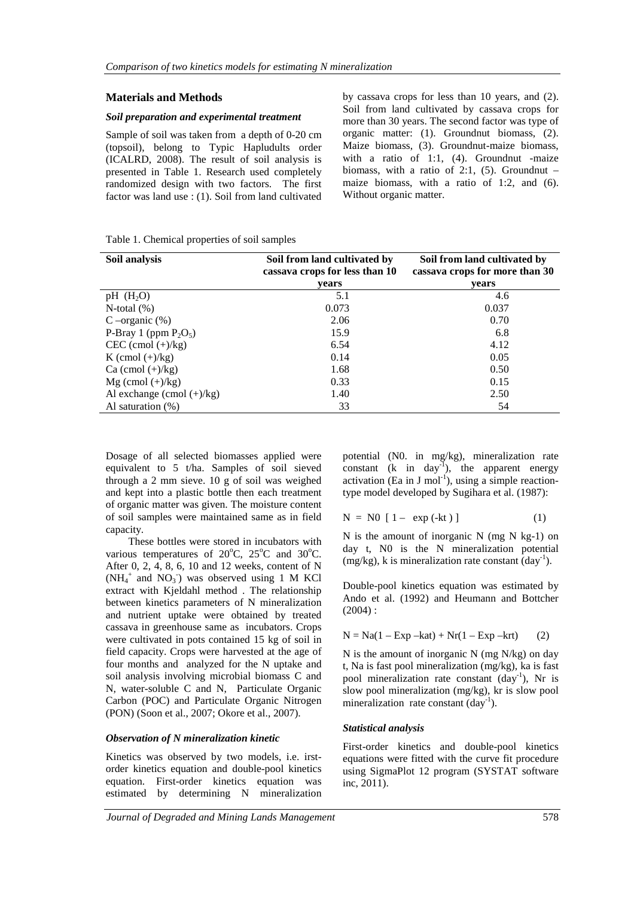# **Materials and Methods**

#### *Soil preparation and experimental treatment*

Sample of soil was taken from a depth of 0-20 cm (topsoil), belong to Typic Hapludults order (ICALRD, 2008). The result of soil analysis is presented in Table 1. Research used completely randomized design with two factors. The first factor was land use : (1). Soil from land cultivated by cassava crops for less than 10 years, and (2). Soil from land cultivated by cassava crops for more than 30 years. The second factor was type of organic matter: (1). Groundnut biomass, (2). Maize biomass, (3). Groundnut-maize biomass, with a ratio of 1:1, (4). Groundnut -maize biomass, with a ratio of 2:1,  $(5)$ . Groundnut – maize biomass, with a ratio of 1:2, and (6). Without organic matter.

Table 1. Chemical properties of soil samples

| Soil analysis                | Soil from land cultivated by<br>cassava crops for less than 10 | Soil from land cultivated by<br>cassava crops for more than 30 |  |  |
|------------------------------|----------------------------------------------------------------|----------------------------------------------------------------|--|--|
|                              | vears                                                          | vears                                                          |  |  |
| pH $(H_2O)$                  | 5.1                                                            | 4.6                                                            |  |  |
| N-total $(\%)$               | 0.073                                                          | 0.037                                                          |  |  |
| C –organic $(\%)$            | 2.06                                                           | 0.70                                                           |  |  |
| P-Bray 1 (ppm $P_2O_5$ )     | 15.9                                                           | 6.8                                                            |  |  |
| $CEC$ (cmol $(+)/kg$ )       | 6.54                                                           | 4.12                                                           |  |  |
| K (cmol $(+)/kg$ )           | 0.14                                                           | 0.05                                                           |  |  |
| Ca (cmol $(+)/kg$ )          | 1.68                                                           | 0.50                                                           |  |  |
| $Mg$ (cmol $(+)/kg$ )        | 0.33                                                           | 0.15                                                           |  |  |
| Al exchange (cmol $(+)/kg$ ) | 1.40                                                           | 2.50                                                           |  |  |
| Al saturation $(\%)$         | 33                                                             | 54                                                             |  |  |

Dosage of all selected biomasses applied were equivalent to 5 t/ha. Samples of soil sieved through a 2 mm sieve. 10 g of soil was weighed and kept into a plastic bottle then each treatment of organic matter was given. The moisture content of soil samples were maintained same as in field capacity.

These bottles were stored in incubators with various temperatures of  $20^{\circ}$ C,  $25^{\circ}$ C and  $30^{\circ}$ C. After 0, 2, 4, 8, 6, 10 and 12 weeks, content of N  $(NH_4^+$  and  $NO_3^-)$  was observed using 1 M KCl extract with Kjeldahl method . The relationship between kinetics parameters of N mineralization and nutrient uptake were obtained by treated cassava in greenhouse same as incubators. Crops were cultivated in pots contained 15 kg of soil in field capacity. Crops were harvested at the age of four months and analyzed for the N uptake and soil analysis involving microbial biomass C and N, water-soluble C and N, Particulate Organic Carbon (POC) and Particulate Organic Nitrogen (PON) (Soon et al., 2007; Okore et al., 2007).

#### *Observation of N mineralization kinetic*

Kinetics was observed by two models, i.e. irstorder kinetics equation and double-pool kinetics equation. First-order kinetics equation was estimated by determining N mineralization potential (N0. in mg/kg), mineralization rate constant  $(k \text{ in day}^1)$ , the apparent energy activation (Ea in J mol<sup>-1</sup>), using a simple reactiontype model developed by Sugihara et al. (1987):

$$
N = N0 [1 - exp(-kt)]
$$
 (1)

N is the amount of inorganic N (mg N kg-1) on day t, N0 is the N mineralization potential  $(mg/kg)$ , k is mineralization rate constant  $(day^{-1})$ .

Double-pool kinetics equation was estimated by Ando et al. (1992) and Heumann and Bottcher  $(2004)$ :

$$
N = Na(1 - Exp - kat) + Nr(1 - Exp - krt)
$$
 (2)

N is the amount of inorganic N (mg N/kg) on day t, Na is fast pool mineralization (mg/kg), ka is fast pool mineralization rate constant (day<sup>-1</sup>), Nr is slow pool mineralization (mg/kg), kr is slow pool mineralization rate constant  $(\text{day}^{-1})$ .

#### *Statistical analysis*

First-order kinetics and double-pool kinetics equations were fitted with the curve fit procedure using SigmaPlot 12 program (SYSTAT software inc, 2011).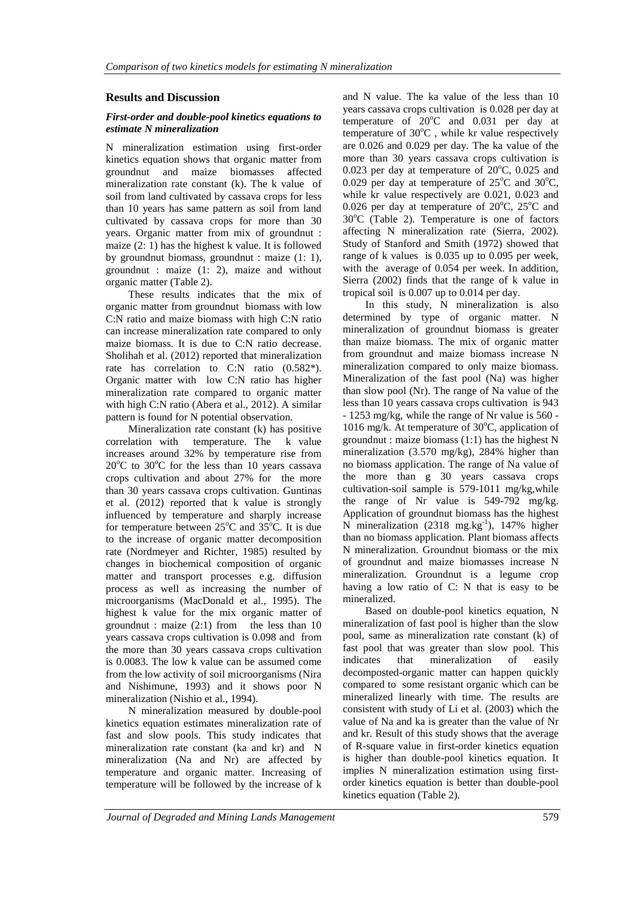## **Results and Discussion**

#### *First-order and double-pool kinetics equations to estimate N mineralization*

N mineralization estimation using first-order kinetics equation shows that organic matter from groundnut and maize biomasses affected mineralization rate constant (k). The k value of soil from land cultivated by cassava crops for less than 10 years has same pattern as soil from land cultivated by cassava crops for more than 30 years. Organic matter from mix of groundnut : maize (2: 1) has the highest k value. It is followed by groundnut biomass, groundnut : maize (1: 1), groundnut : maize (1: 2), maize and without organic matter (Table 2).

These results indicates that the mix of organic matter from groundnut biomass with low C:N ratio and maize biomass with high C:N ratio can increase mineralization rate compared to only maize biomass. It is due to C:N ratio decrease. Sholihah et al. (2012) reported that mineralization rate has correlation to C:N ratio  $(0.582^*)$ . Organic matter with low C:N ratio has higher mineralization rate compared to organic matter with high C:N ratio (Abera et al., 2012). A similar pattern is found for N potential observation.

Mineralization rate constant (k) has positive correlation with temperature. The k value increases around 32% by temperature rise from  $20^{\circ}$ C to  $30^{\circ}$ C for the less than 10 years cassava crops cultivation and about 27% for the more than 30 years cassava crops cultivation. Guntinas et al. (2012) reported that k value is strongly influenced by temperature and sharply increase for temperature between  $25^{\circ}$ C and  $35^{\circ}$ C. It is due to the increase of organic matter decomposition rate (Nordmeyer and Richter, 1985) resulted by changes in biochemical composition of organic matter and transport processes e.g. diffusion process as well as increasing the number of microorganisms (MacDonald et al., 1995). The highest k value for the mix organic matter of groundnut : maize (2:1) from the less than 10 years cassava crops cultivation is 0.098 and from the more than 30 years cassava crops cultivation is 0.0083. The low k value can be assumed come from the low activity of soil microorganisms (Nira and Nishimune, 1993) and it shows poor N mineralization (Nishio et al., 1994).

N mineralization measured by double-pool kinetics equation estimates mineralization rate of fast and slow pools. This study indicates that mineralization rate constant (ka and kr) and N mineralization (Na and Nr) are affected by temperature and organic matter. Increasing of temperature will be followed by the increase of k

and N value. The ka value of the less than 10 years cassava crops cultivation is 0.028 per day at temperature of  $20^{\circ}$ C and  $0.031$  per day at temperature of  $30^{\circ}$ C, while kr value respectively are 0.026 and 0.029 per day. The ka value of the more than 30 years cassava crops cultivation is 0.023 per day at temperature of  $20^{\circ}$ C, 0.025 and 0.029 per day at temperature of  $25^{\circ}$ C and  $30^{\circ}$ C, while kr value respectively are 0.021, 0.023 and 0.026 per day at temperature of  $20^{\circ}$ C,  $25^{\circ}$ C and  $30^{\circ}$ C (Table 2). Temperature is one of factors affecting N mineralization rate (Sierra, 2002). Study of Stanford and Smith (1972) showed that range of k values is 0.035 up to 0.095 per week, with the average of 0.054 per week. In addition, Sierra (2002) finds that the range of k value in tropical soil is 0.007 up to 0.014 per day.

In this study, N mineralization is also determined by type of organic matter. N mineralization of groundnut biomass is greater than maize biomass. The mix of organic matter from groundnut and maize biomass increase N mineralization compared to only maize biomass. Mineralization of the fast pool (Na) was higher than slow pool (Nr). The range of Na value of the less than 10 years cassava crops cultivation is 943 - 1253 mg/kg, while the range of Nr value is 560 - 1016 mg/k. At temperature of  $30^{\circ}$ C, application of groundnut : maize biomass (1:1) has the highest N mineralization (3.570 mg/kg), 284% higher than no biomass application. The range of Na value of the more than g 30 years cassava crops cultivation-soil sample is 579-1011 mg/kg,while the range of Nr value is 549-792 mg/kg. Application of groundnut biomass has the highest N mineralization (2318 mg.kg<sup>-1</sup>), 147% higher than no biomass application. Plant biomass affects N mineralization. Groundnut biomass or the mix of groundnut and maize biomasses increase N mineralization. Groundnut is a legume crop having a low ratio of C: N that is easy to be mineralized.

Based on double-pool kinetics equation, N mineralization of fast pool is higher than the slow pool, same as mineralization rate constant (k) of fast pool that was greater than slow pool. This indicates that mineralization of easily decomposted-organic matter can happen quickly compared to some resistant organic which can be mineralized linearly with time. The results are consistent with study of Li et al. (2003) which the value of Na and ka is greater than the value of Nr and kr. Result of this study shows that the average of R-square value in first-order kinetics equation is higher than double-pool kinetics equation. It implies N mineralization estimation using firstorder kinetics equation is better than double-pool kinetics equation (Table 2).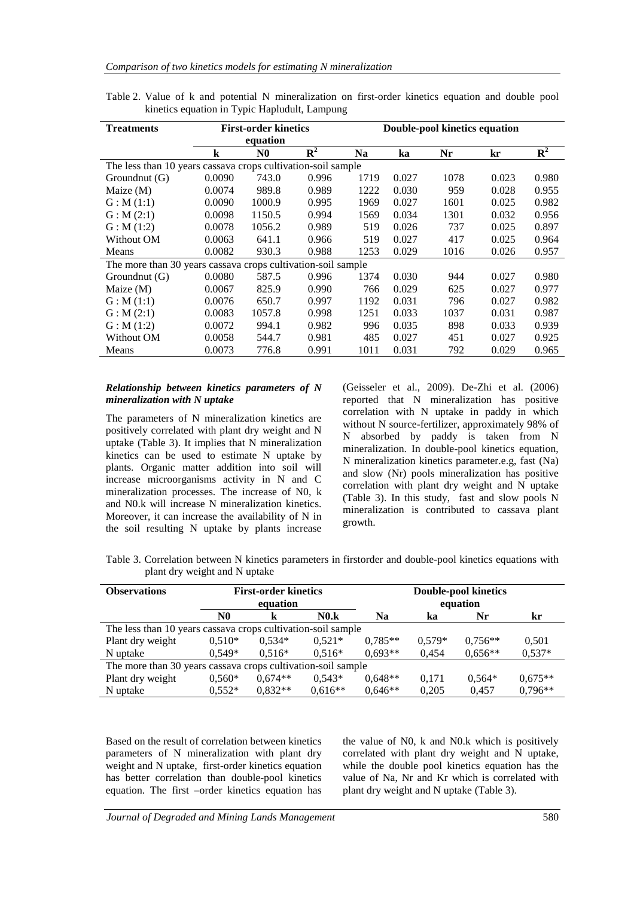| <b>Treatments</b>                                            | <b>First-order kinetics</b> |                |             | Double-pool kinetics equation |       |      |       |                           |
|--------------------------------------------------------------|-----------------------------|----------------|-------------|-------------------------------|-------|------|-------|---------------------------|
|                                                              | equation                    |                |             |                               |       |      |       |                           |
|                                                              | k                           | N <sub>0</sub> | ${\bf R}^2$ | <b>Na</b>                     | ka    | Nr   | kr    | $\overline{\mathbf{R}^2}$ |
| The less than 10 years cassava crops cultivation-soil sample |                             |                |             |                               |       |      |       |                           |
| Groundnut (G)                                                | 0.0090                      | 743.0          | 0.996       | 1719                          | 0.027 | 1078 | 0.023 | 0.980                     |
| Maize $(M)$                                                  | 0.0074                      | 989.8          | 0.989       | 1222                          | 0.030 | 959  | 0.028 | 0.955                     |
| G: M(1:1)                                                    | 0.0090                      | 1000.9         | 0.995       | 1969                          | 0.027 | 1601 | 0.025 | 0.982                     |
| G: M(2:1)                                                    | 0.0098                      | 1150.5         | 0.994       | 1569                          | 0.034 | 1301 | 0.032 | 0.956                     |
| G: M(1:2)                                                    | 0.0078                      | 1056.2         | 0.989       | 519                           | 0.026 | 737  | 0.025 | 0.897                     |
| Without OM                                                   | 0.0063                      | 641.1          | 0.966       | 519                           | 0.027 | 417  | 0.025 | 0.964                     |
| Means                                                        | 0.0082                      | 930.3          | 0.988       | 1253                          | 0.029 | 1016 | 0.026 | 0.957                     |
| The more than 30 years cassava crops cultivation-soil sample |                             |                |             |                               |       |      |       |                           |
| Groundnut (G)                                                | 0.0080                      | 587.5          | 0.996       | 1374                          | 0.030 | 944  | 0.027 | 0.980                     |
| Maize $(M)$                                                  | 0.0067                      | 825.9          | 0.990       | 766                           | 0.029 | 625  | 0.027 | 0.977                     |
| G: M(1:1)                                                    | 0.0076                      | 650.7          | 0.997       | 1192                          | 0.031 | 796  | 0.027 | 0.982                     |
| G: M(2:1)                                                    | 0.0083                      | 1057.8         | 0.998       | 1251                          | 0.033 | 1037 | 0.031 | 0.987                     |
| G: M(1:2)                                                    | 0.0072                      | 994.1          | 0.982       | 996                           | 0.035 | 898  | 0.033 | 0.939                     |
| Without OM                                                   | 0.0058                      | 544.7          | 0.981       | 485                           | 0.027 | 451  | 0.027 | 0.925                     |
| Means                                                        | 0.0073                      | 776.8          | 0.991       | 1011                          | 0.031 | 792  | 0.029 | 0.965                     |

Table 2. Value of k and potential N mineralization on first-order kinetics equation and double pool kinetics equation in Typic Hapludult, Lampung

#### *Relationship between kinetics parameters of N mineralization with N uptake*

The parameters of N mineralization kinetics are positively correlated with plant dry weight and N uptake (Table 3). It implies that N mineralization kinetics can be used to estimate N uptake by plants. Organic matter addition into soil will increase microorganisms activity in N and C mineralization processes. The increase of N0, k and N0.k will increase N mineralization kinetics. Moreover, it can increase the availability of N in the soil resulting N uptake by plants increase (Geisseler et al., 2009). De-Zhi et al. (2006) reported that N mineralization has positive correlation with N uptake in paddy in which without N source-fertilizer, approximately 98% of N absorbed by paddy is taken from N mineralization. In double-pool kinetics equation, N mineralization kinetics parameter.e.g, fast (Na) and slow (Nr) pools mineralization has positive correlation with plant dry weight and N uptake (Table 3). In this study, fast and slow pools N mineralization is contributed to cassava plant growth.

Table 3. Correlation between N kinetics parameters in firstorder and double-pool kinetics equations with plant dry weight and N uptake

| <b>Observations</b>                                          | <b>First-order kinetics</b><br>equation |           |           | <b>Double-pool kinetics</b><br>equation |          |           |           |  |  |
|--------------------------------------------------------------|-----------------------------------------|-----------|-----------|-----------------------------------------|----------|-----------|-----------|--|--|
|                                                              | N0                                      | k         | N0.k      | Na                                      | ka       | Nr        | kr        |  |  |
| The less than 10 years cassava crops cultivation-soil sample |                                         |           |           |                                         |          |           |           |  |  |
| Plant dry weight                                             | $0,510*$                                | $0,534*$  | $0,521*$  | $0.785**$                               | $0.579*$ | $0,756**$ | 0,501     |  |  |
| N uptake                                                     | $0.549*$                                | $0.516*$  | $0.516*$  | $0.693**$                               | 0.454    | $0,656**$ | $0,537*$  |  |  |
| The more than 30 years cassava crops cultivation-soil sample |                                         |           |           |                                         |          |           |           |  |  |
| Plant dry weight                                             | $0,560*$                                | $0.674**$ | $0.543*$  | $0.648**$                               | 0,171    | $0.564*$  | $0.675**$ |  |  |
| N uptake                                                     | $0.552*$                                | $0.832**$ | $0.616**$ | $0.646**$                               | 0.205    | 0.457     | $0.796**$ |  |  |

Based on the result of correlation between kinetics parameters of N mineralization with plant dry weight and N uptake, first-order kinetics equation has better correlation than double-pool kinetics equation. The first –order kinetics equation has the value of N0, k and N0.k which is positively correlated with plant dry weight and N uptake, while the double pool kinetics equation has the value of Na, Nr and Kr which is correlated with plant dry weight and N uptake (Table 3).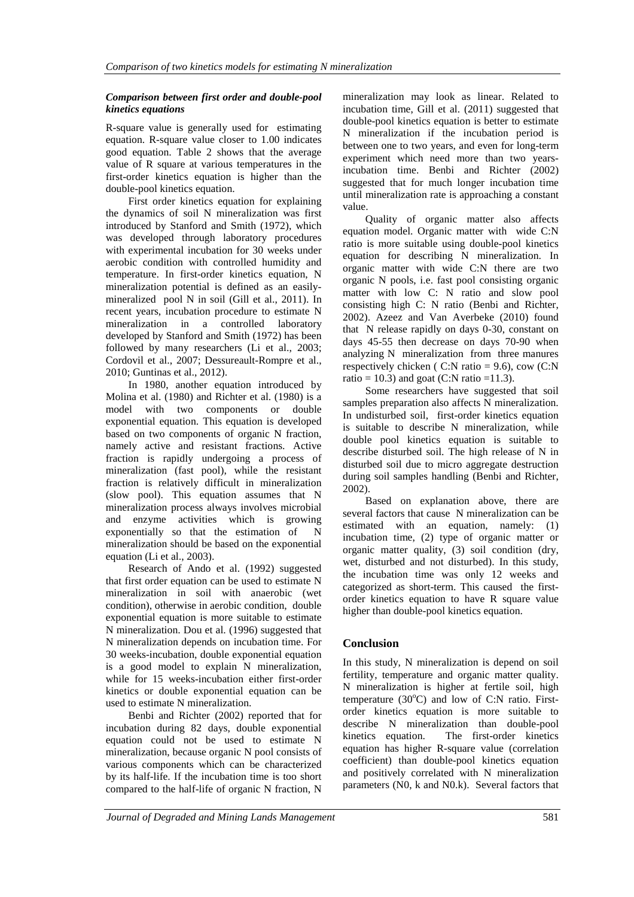### *Comparison between first order and double-pool kinetics equations*

R-square value is generally used for estimating equation. R-square value closer to 1.00 indicates good equation. Table 2 shows that the average value of R square at various temperatures in the first-order kinetics equation is higher than the double-pool kinetics equation.

First order kinetics equation for explaining the dynamics of soil N mineralization was first introduced by Stanford and Smith (1972), which was developed through laboratory procedures with experimental incubation for 30 weeks under aerobic condition with controlled humidity and temperature. In first-order kinetics equation, N mineralization potential is defined as an easilymineralized pool N in soil (Gill et al., 2011). In recent years, incubation procedure to estimate N mineralization in a controlled laboratory developed by Stanford and Smith (1972) has been followed by many researchers (Li et al., 2003; Cordovil et al., 2007; Dessureault-Rompre et al., 2010; Guntinas et al., 2012).

In 1980, another equation introduced by Molina et al. (1980) and Richter et al. (1980) is a model with two components or double exponential equation. This equation is developed based on two components of organic N fraction, namely active and resistant fractions. Active fraction is rapidly undergoing a process of mineralization (fast pool), while the resistant fraction is relatively difficult in mineralization (slow pool). This equation assumes that N mineralization process always involves microbial and enzyme activities which is growing exponentially so that the estimation of N mineralization should be based on the exponential equation (Li et al., 2003).

Research of Ando et al. (1992) suggested that first order equation can be used to estimate N mineralization in soil with anaerobic (wet condition), otherwise in aerobic condition, double exponential equation is more suitable to estimate N mineralization. Dou et al. (1996) suggested that N mineralization depends on incubation time. For 30 weeks-incubation, double exponential equation is a good model to explain N mineralization, while for 15 weeks-incubation either first-order kinetics or double exponential equation can be used to estimate N mineralization.

Benbi and Richter (2002) reported that for incubation during 82 days, double exponential equation could not be used to estimate N mineralization, because organic N pool consists of various components which can be characterized by its half-life. If the incubation time is too short compared to the half-life of organic N fraction, N

mineralization may look as linear. Related to incubation time, Gill et al. (2011) suggested that double-pool kinetics equation is better to estimate N mineralization if the incubation period is between one to two years, and even for long-term experiment which need more than two yearsincubation time. Benbi and Richter (2002) suggested that for much longer incubation time until mineralization rate is approaching a constant value.

Quality of organic matter also affects equation model. Organic matter with wide C:N ratio is more suitable using double-pool kinetics equation for describing N mineralization. In organic matter with wide C:N there are two organic N pools, i.e. fast pool consisting organic matter with low C: N ratio and slow pool consisting high C: N ratio (Benbi and Richter, 2002). Azeez and Van Averbeke (2010) found that N release rapidly on days 0-30, constant on days 45-55 then decrease on days 70-90 when analyzing N mineralization from three manures respectively chicken ( $C:N$  ratio = 9.6), cow  $(C:N)$ ratio = 10.3) and goat (C:N ratio = 11.3).

Some researchers have suggested that soil samples preparation also affects N mineralization. In undisturbed soil, first-order kinetics equation is suitable to describe N mineralization, while double pool kinetics equation is suitable to describe disturbed soil. The high release of N in disturbed soil due to micro aggregate destruction during soil samples handling (Benbi and Richter, 2002).

Based on explanation above, there are several factors that cause N mineralization can be estimated with an equation, namely: (1) incubation time, (2) type of organic matter or organic matter quality, (3) soil condition (dry, wet, disturbed and not disturbed). In this study, the incubation time was only 12 weeks and categorized as short-term. This caused the firstorder kinetics equation to have R square value higher than double-pool kinetics equation.

# **Conclusion**

In this study, N mineralization is depend on soil fertility, temperature and organic matter quality. N mineralization is higher at fertile soil, high temperature  $(30^{\circ}C)$  and low of C:N ratio. Firstorder kinetics equation is more suitable to describe N mineralization than double-pool kinetics equation. The first-order kinetics equation has higher R-square value (correlation coefficient) than double-pool kinetics equation and positively correlated with N mineralization parameters (N0, k and N0.k). Several factors that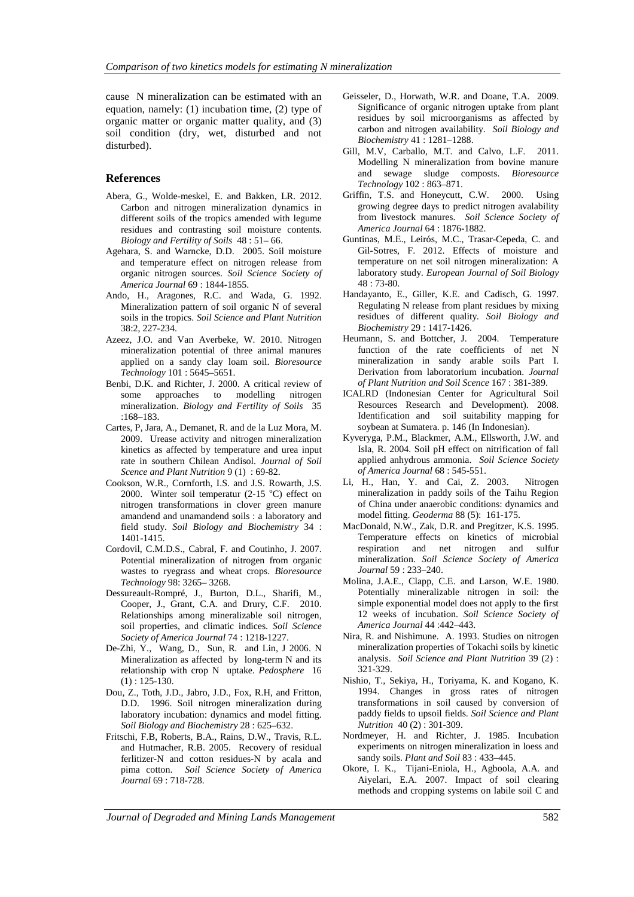cause N mineralization can be estimated with an equation, namely: (1) incubation time, (2) type of organic matter or organic matter quality, and (3) soil condition (dry, wet, disturbed and not disturbed).

#### **References**

- Abera, G., Wolde-meskel, E. and Bakken, LR. 2012. Carbon and nitrogen mineralization dynamics in different soils of the tropics amended with legume residues and contrasting soil moisture contents. *Biology and Fertility of Soils* 48 : 51– 66.
- Agehara, S. and Warncke, D.D. 2005. Soil moisture and temperature effect on nitrogen release from organic nitrogen sources. *Soil Science Society of America Journal* 69 : 1844-1855.
- Ando, H., Aragones, R.C. and Wada, G. 1992. Mineralization pattern of soil organic N of several soils in the tropics. *Soil Science and Plant Nutrition* 38:2, 227-234.
- Azeez, J.O. and Van Averbeke, W. 2010. Nitrogen mineralization potential of three animal manures applied on a sandy clay loam soil. *Bioresource Technology* 101 : 5645–5651.
- Benbi, D.K. and Richter, J. 2000. A critical review of some approaches to modelling nitrogen mineralization. *Biology and Fertility of Soils* 35 :168–183.
- Cartes, P, Jara, A., Demanet, R. and de la Luz Mora, M. 2009. Urease activity and nitrogen mineralization kinetics as affected by temperature and urea input rate in southern Chilean Andisol. *Journal of Soil Scence and Plant Nutrition* 9 (1) : 69-82.
- Cookson, W.R., Cornforth, I.S. and J.S. Rowarth, J.S. 2000. Winter soil temperatur (2-15  $^{\circ}$ C) effect on nitrogen transformations in clover green manure amandend and unamandend soils : a laboratory and field study. *Soil Biology and Biochemistry* 34 : 1401-1415.
- Cordovil, C.M.D.S., Cabral, F. and Coutinho, J. 2007. Potential mineralization of nitrogen from organic wastes to ryegrass and wheat crops. *Bioresource Technology* 98: 3265– 3268.
- Dessureault-Rompré, J., Burton, D.L., Sharifi, M., Cooper, J., Grant, C.A. and Drury, C.F. 2010. Relationships among mineralizable soil nitrogen, soil properties, and climatic indices. *Soil Science Society of America Journal* 74 : 1218-1227.
- De-Zhi, Y., Wang, D., Sun, R. and Lin, J 2006. N Mineralization as affected by long-term N and its relationship with crop N uptake. *Pedosphere* 16 (1) : 125-130.
- Dou, Z., Toth, J.D., Jabro, J.D., Fox, R.H, and Fritton, D.D. 1996. Soil nitrogen mineralization during laboratory incubation: dynamics and model fitting. *Soil Biology and Biochemistry* 28 : 625–632.
- Fritschi, F.B, Roberts, B.A., Rains, D.W., Travis, R.L. and Hutmacher, R.B. 2005. Recovery of residual ferlitizer-N and cotton residues-N by acala and pima cotton. *Soil Science Society of America Journal* 69 : 718-728.
- Geisseler, D., Horwath, W.R. and Doane, T.A. 2009. Significance of organic nitrogen uptake from plant residues by soil microorganisms as affected by carbon and nitrogen availability. *Soil Biology and Biochemistry* 41 : 1281–1288.
- Gill, M.V, Carballo, M.T. and Calvo, L.F. 2011. Modelling N mineralization from bovine manure and sewage sludge composts. *Bioresource Technology* 102 : 863–871.
- Griffin, T.S. and Honeycutt, C.W. 2000. Using growing degree days to predict nitrogen avalability from livestock manures. *Soil Science Society of America Journal* 64 : 1876-1882.
- Guntinas, M.E., Leirós, M.C., Trasar-Cepeda, C. and Gil-Sotres, F. 2012. Effects of moisture and temperature on net soil nitrogen mineralization: A laboratory study. *European Journal of Soil Biology* 48 : 73-80.
- Handayanto, E., Giller, K.E. and Cadisch, G. 1997. Regulating N release from plant residues by mixing residues of different quality*. Soil Biology and Biochemistry* 29 : 1417-1426.
- Heumann, S. and Bottcher, J. 2004. Temperature function of the rate coefficients of net N mineralization in sandy arable soils Part I. Derivation from laboratorium incubation. *Journal of Plant Nutrition and Soil Scence* 167 : 381-389.
- ICALRD (Indonesian Center for Agricultural Soil Resources Research and Development). 2008. Identification and soil suitability mapping for soybean at Sumatera. p. 146 (In Indonesian).
- Kyveryga, P.M., Blackmer, A.M., Ellsworth, J.W. and Isla, R. 2004. Soil pH effect on nitrification of fall applied anhydrous ammonia. *Soil Science Society of America Journal* 68 : 545-551.
- Li, H., Han, Y. and Cai, Z. 2003. Nitrogen mineralization in paddy soils of the Taihu Region of China under anaerobic conditions: dynamics and model fitting. *Geoderma* 88 (5): 161-175.
- MacDonald, N.W., Zak, D.R. and Pregitzer, K.S. 1995. Temperature effects on kinetics of microbial respiration and net nitrogen and sulfur mineralization. *Soil Science Society of America Journal* 59 : 233–240.
- Molina, J.A.E., Clapp, C.E. and Larson, W.E. 1980. Potentially mineralizable nitrogen in soil: the simple exponential model does not apply to the first 12 weeks of incubation. *Soil Science Society of America Journal* 44 :442–443.
- Nira, R. and Nishimune. A. 1993. Studies on nitrogen mineralization properties of Tokachi soils by kinetic analysis. *Soil Science and Plant Nutrition* 39 (2) : 321-329.
- Nishio, T., Sekiya, H., Toriyama, K. and Kogano, K. 1994. Changes in gross rates of nitrogen transformations in soil caused by conversion of paddy fields to upsoil fields. *Soil Science and Plant Nutrition* 40 (2) : 301-309.
- Nordmeyer, H. and Richter, J. 1985. Incubation experiments on nitrogen mineralization in loess and sandy soils. *Plant and Soil* 83 : 433–445.
- Okore, I. K., Tijani-Eniola, H., Agboola, A.A. and Aiyelari, E.A. 2007. Impact of soil clearing methods and cropping systems on labile soil C and

*Journal of Degraded and Mining Lands Management* 582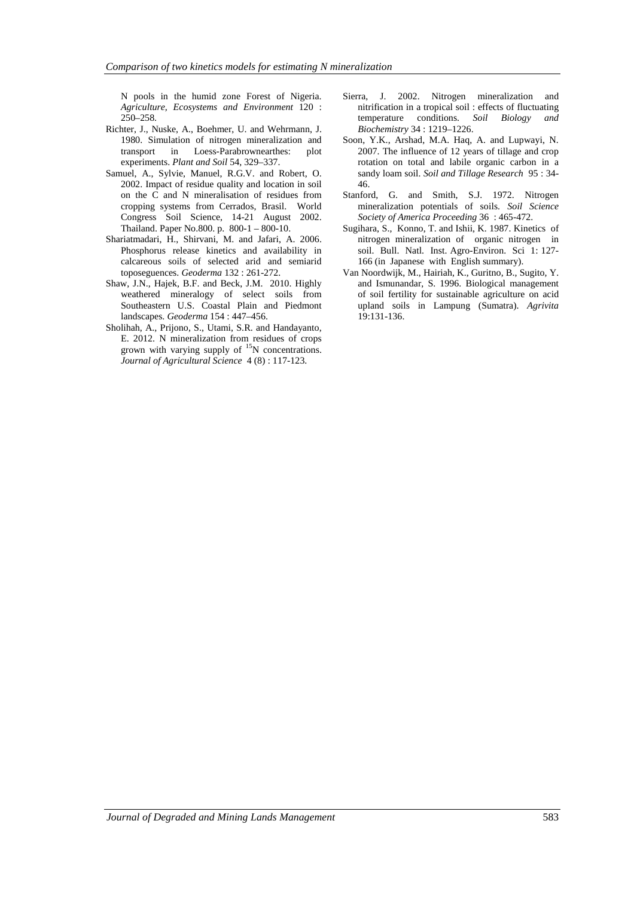N pools in the humid zone Forest of Nigeria. *Agriculture, Ecosystems and Environment* 120 : 250–258.

- Richter, J., Nuske, A., Boehmer, U. and Wehrmann, J. 1980. Simulation of nitrogen mineralization and transport in Loess-Parabrownearthes: plot experiments. *Plant and Soil* 54, 329–337.
- Samuel, A., Sylvie, Manuel, R.G.V. and Robert, O. 2002. Impact of residue quality and location in soil on the C and N mineralisation of residues from cropping systems from Cerrados, Brasil. World Congress Soil Science, 14-21 August 2002. Thailand. Paper No.800. p. 800-1 – 800-10.
- Shariatmadari, H., Shirvani, M. and Jafari, A. 2006. Phosphorus release kinetics and availability in calcareous soils of selected arid and semiarid toposeguences. *Geoderma* 132 : 261-272.
- Shaw, J.N., Hajek, B.F. and Beck, J.M. 2010. Highly weathered mineralogy of select soils from Southeastern U.S. Coastal Plain and Piedmont landscapes. *Geoderma* 154 : 447–456.
- Sholihah, A., Prijono, S., Utami, S.R. and Handayanto, E. 2012. N mineralization from residues of crops grown with varying supply of <sup>15</sup>N concentrations. *Journal of Agricultural Science* 4 (8) : 117-123.
- Sierra, J. 2002. Nitrogen mineralization and nitrification in a tropical soil : effects of fluctuating temperature conditions. *Soil Biology and Biochemistry* 34 : 1219–1226.
- Soon, Y.K., Arshad, M.A. Haq, A. and Lupwayi, N. 2007. The influence of 12 years of tillage and crop rotation on total and labile organic carbon in a sandy loam soil. *Soil and Tillage Research* 95 : 34- 46.
- Stanford, G. and Smith, S.J. 1972. Nitrogen mineralization potentials of soils. *Soil Science Society of America Proceeding* 36 : 465-472.
- Sugihara, S., Konno, T. and Ishii, K. 1987. Kinetics of nitrogen mineralization of organic nitrogen in soil. Bull. Natl. Inst. Agro-Environ. Sci 1: 127- 166 (in Japanese with English summary).
- Van Noordwijk, M., Hairiah, K., Guritno, B., Sugito, Y. and Ismunandar, S. 1996. Biological management of soil fertility for sustainable agriculture on acid upland soils in Lampung (Sumatra). *Agrivita* 19:131-136.